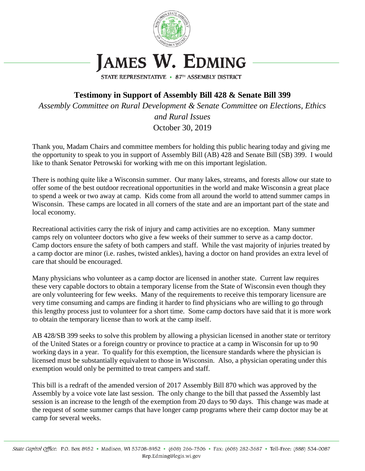

STATE REPRESENTATIVE • 87TH ASSEMBLY DISTRICT

**Testimony in Support of Assembly Bill 428 & Senate Bill 399** *Assembly Committee on Rural Development & Senate Committee on Elections, Ethics and Rural Issues* October 30, 2019

Thank you, Madam Chairs and committee members for holding this public hearing today and giving me the opportunity to speak to you in support of Assembly Bill (AB) 428 and Senate Bill (SB) 399. I would like to thank Senator Petrowski for working with me on this important legislation.

There is nothing quite like a Wisconsin summer. Our many lakes, streams, and forests allow our state to offer some of the best outdoor recreational opportunities in the world and make Wisconsin a great place to spend a week or two away at camp. Kids come from all around the world to attend summer camps in Wisconsin. These camps are located in all corners of the state and are an important part of the state and local economy.

Recreational activities carry the risk of injury and camp activities are no exception. Many summer camps rely on volunteer doctors who give a few weeks of their summer to serve as a camp doctor. Camp doctors ensure the safety of both campers and staff. While the vast majority of injuries treated by a camp doctor are minor (i.e. rashes, twisted ankles), having a doctor on hand provides an extra level of care that should be encouraged.

Many physicians who volunteer as a camp doctor are licensed in another state. Current law requires these very capable doctors to obtain a temporary license from the State of Wisconsin even though they are only volunteering for few weeks. Many of the requirements to receive this temporary licensure are very time consuming and camps are finding it harder to find physicians who are willing to go through this lengthy process just to volunteer for a short time. Some camp doctors have said that it is more work to obtain the temporary license than to work at the camp itself.

AB 428/SB 399 seeks to solve this problem by allowing a physician licensed in another state or territory of the United States or a foreign country or province to practice at a camp in Wisconsin for up to 90 working days in a year. To qualify for this exemption, the licensure standards where the physician is licensed must be substantially equivalent to those in Wisconsin. Also, a physician operating under this exemption would only be permitted to treat campers and staff.

This bill is a redraft of the amended version of 2017 Assembly Bill 870 which was approved by the Assembly by a voice vote late last session. The only change to the bill that passed the Assembly last session is an increase to the length of the exemption from 20 days to 90 days. This change was made at the request of some summer camps that have longer camp programs where their camp doctor may be at camp for several weeks.